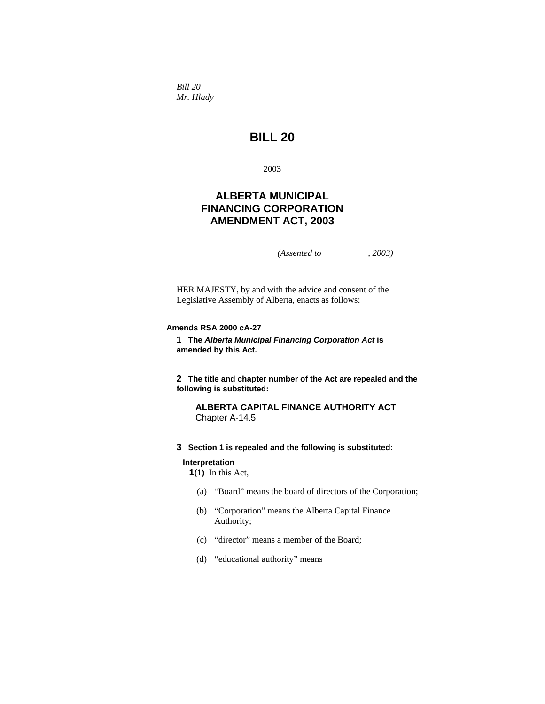*Bill 20 Mr. Hlady* 

# **BILL 20**

2003

# **ALBERTA MUNICIPAL FINANCING CORPORATION AMENDMENT ACT, 2003**

*(Assented to , 2003)* 

HER MAJESTY, by and with the advice and consent of the Legislative Assembly of Alberta, enacts as follows:

## **Amends RSA 2000 cA-27**

**1 The** *Alberta Municipal Financing Corporation Act* **is amended by this Act.**

**2 The title and chapter number of the Act are repealed and the following is substituted:**

**ALBERTA CAPITAL FINANCE AUTHORITY ACT**  Chapter A-14.5

**3 Section 1 is repealed and the following is substituted:** 

#### **Interpretation**

**1(1)** In this Act,

- (a) "Board" means the board of directors of the Corporation;
- (b) "Corporation" means the Alberta Capital Finance Authority;
- (c) "director" means a member of the Board;
- (d) "educational authority" means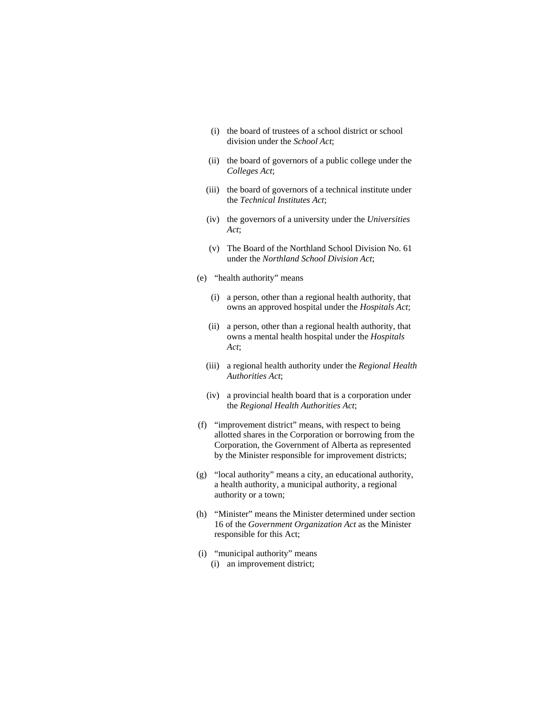- (i) the board of trustees of a school district or school division under the *School Act*;
- (ii) the board of governors of a public college under the *Colleges Act*;
- (iii) the board of governors of a technical institute under the *Technical Institutes Act*;
- (iv) the governors of a university under the *Universities Act*;
- (v) The Board of the Northland School Division No. 61 under the *Northland School Division Act*;
- (e) "health authority" means
	- (i) a person, other than a regional health authority, that owns an approved hospital under the *Hospitals Act*;
	- (ii) a person, other than a regional health authority, that owns a mental health hospital under the *Hospitals Act*;
	- (iii) a regional health authority under the *Regional Health Authorities Act*;
	- (iv) a provincial health board that is a corporation under the *Regional Health Authorities Act*;
- (f) "improvement district" means, with respect to being allotted shares in the Corporation or borrowing from the Corporation, the Government of Alberta as represented by the Minister responsible for improvement districts;
- (g) "local authority" means a city, an educational authority, a health authority, a municipal authority, a regional authority or a town;
- (h) "Minister" means the Minister determined under section 16 of the *Government Organization Act* as the Minister responsible for this Act;
- (i) "municipal authority" means (i) an improvement district;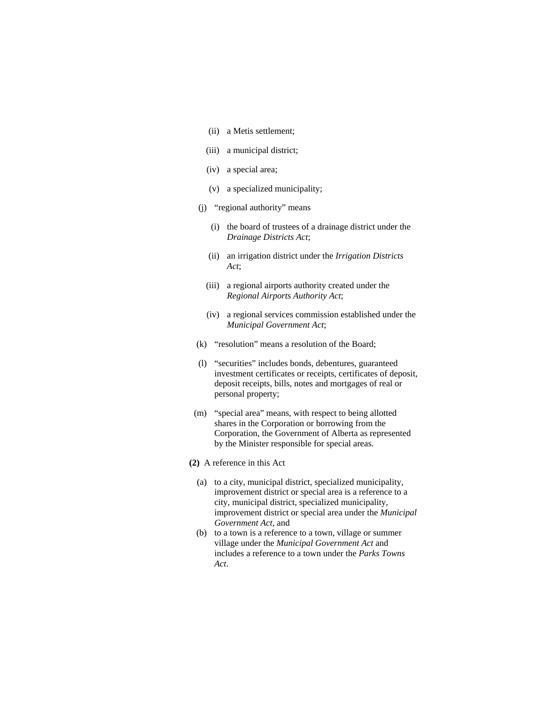- (ii) a Metis settlement;
- (iii) a municipal district;
- (iv) a special area;
- (v) a specialized municipality;
- (j) "regional authority" means
	- (i) the board of trustees of a drainage district under the *Drainage Districts Act*;
	- (ii) an irrigation district under the *Irrigation Districts Act*;
	- (iii) a regional airports authority created under the *Regional Airports Authority Act*;
	- (iv) a regional services commission established under the *Municipal Government Act*;
- (k) "resolution" means a resolution of the Board;
- (l) "securities" includes bonds, debentures, guaranteed investment certificates or receipts, certificates of deposit, deposit receipts, bills, notes and mortgages of real or personal property;
- (m) "special area" means, with respect to being allotted shares in the Corporation or borrowing from the Corporation, the Government of Alberta as represented by the Minister responsible for special areas.
- **(2)** A reference in this Act
	- (a) to a city, municipal district, specialized municipality, improvement district or special area is a reference to a city, municipal district, specialized municipality, improvement district or special area under the *Municipal Government Act*, and
	- (b) to a town is a reference to a town, village or summer village under the *Municipal Government Act* and includes a reference to a town under the *Parks Towns Act*.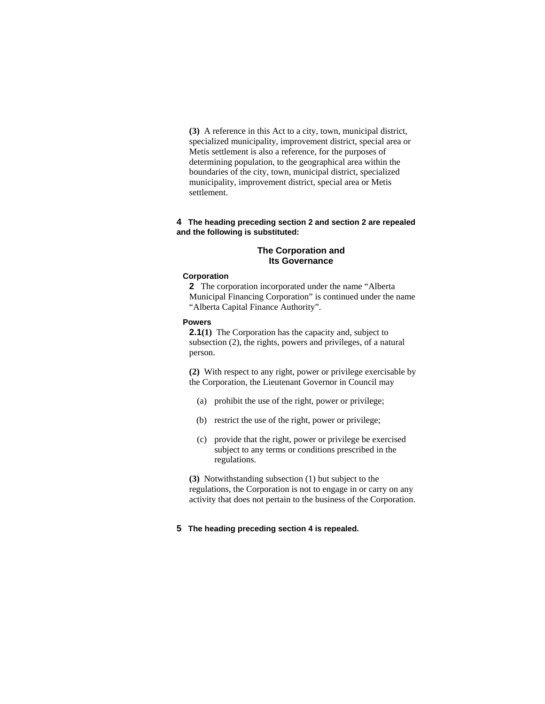**(3)** A reference in this Act to a city, town, municipal district, specialized municipality, improvement district, special area or Metis settlement is also a reference, for the purposes of determining population, to the geographical area within the boundaries of the city, town, municipal district, specialized municipality, improvement district, special area or Metis settlement.

#### **4 The heading preceding section 2 and section 2 are repealed and the following is substituted:**

### **The Corporation and Its Governance**

#### **Corporation**

**2** The corporation incorporated under the name "Alberta Municipal Financing Corporation" is continued under the name "Alberta Capital Finance Authority".

# **Powers**

**2.1(1)** The Corporation has the capacity and, subject to subsection (2), the rights, powers and privileges, of a natural person.

**(2)** With respect to any right, power or privilege exercisable by the Corporation, the Lieutenant Governor in Council may

- (a) prohibit the use of the right, power or privilege;
- (b) restrict the use of the right, power or privilege;
- (c) provide that the right, power or privilege be exercised subject to any terms or conditions prescribed in the regulations.

**(3)** Notwithstanding subsection (1) but subject to the regulations, the Corporation is not to engage in or carry on any activity that does not pertain to the business of the Corporation.

### **5 The heading preceding section 4 is repealed.**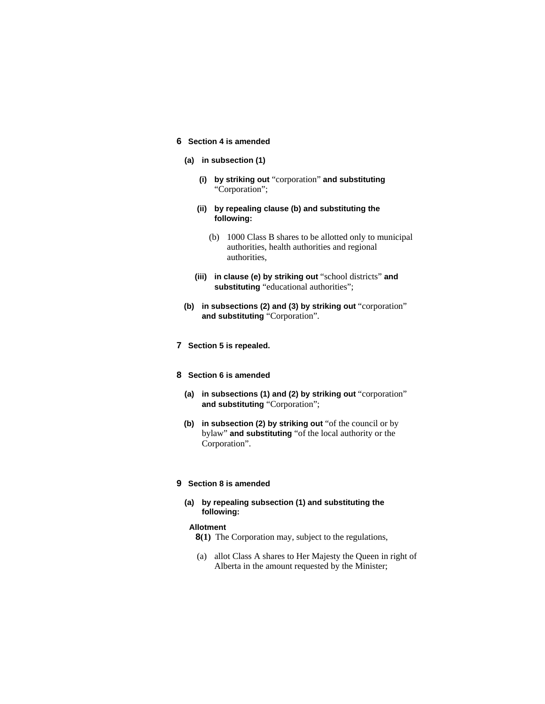# **6 Section 4 is amended**

# **(a) in subsection (1)**

- **(i) by striking out** "corporation" **and substituting**  "Corporation";
- **(ii) by repealing clause (b) and substituting the following:**
	- (b) 1000 Class B shares to be allotted only to municipal authorities, health authorities and regional authorities,
- **(iii) in clause (e) by striking out** "school districts" **and substituting** "educational authorities";
- **(b) in subsections (2) and (3) by striking out** "corporation" **and substituting** "Corporation".

### **7 Section 5 is repealed.**

#### **8 Section 6 is amended**

- **(a) in subsections (1) and (2) by striking out** "corporation" **and substituting** "Corporation";
- **(b) in subsection (2) by striking out** "of the council or by bylaw" **and substituting** "of the local authority or the Corporation".

#### **9 Section 8 is amended**

### **(a) by repealing subsection (1) and substituting the following:**

### **Allotment**

- **8(1)** The Corporation may, subject to the regulations,
- (a) allot Class A shares to Her Majesty the Queen in right of Alberta in the amount requested by the Minister;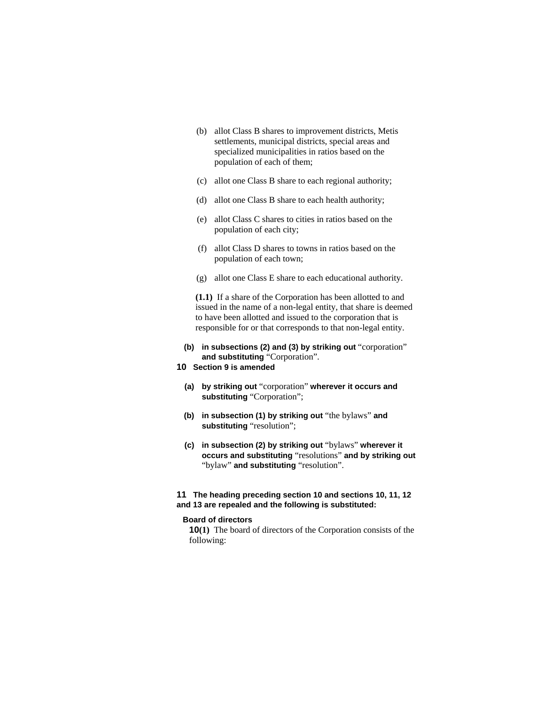- (b) allot Class B shares to improvement districts, Metis settlements, municipal districts, special areas and specialized municipalities in ratios based on the population of each of them;
- (c) allot one Class B share to each regional authority;
- (d) allot one Class B share to each health authority;
- (e) allot Class C shares to cities in ratios based on the population of each city;
- (f) allot Class D shares to towns in ratios based on the population of each town;
- (g) allot one Class E share to each educational authority.

**(1.1)** If a share of the Corporation has been allotted to and issued in the name of a non-legal entity, that share is deemed to have been allotted and issued to the corporation that is responsible for or that corresponds to that non-legal entity.

- **(b) in subsections (2) and (3) by striking out** "corporation" **and substituting** "Corporation".
- **10 Section 9 is amended**
	- **(a) by striking out** "corporation" **wherever it occurs and substituting** "Corporation";
	- **(b) in subsection (1) by striking out** "the bylaws" **and substituting** "resolution";
	- **(c) in subsection (2) by striking out** "bylaws" **wherever it occurs and substituting** "resolutions" **and by striking out**  "bylaw" **and substituting** "resolution".

#### **11 The heading preceding section 10 and sections 10, 11, 12 and 13 are repealed and the following is substituted:**

#### **Board of directors**

**10(1)** The board of directors of the Corporation consists of the following: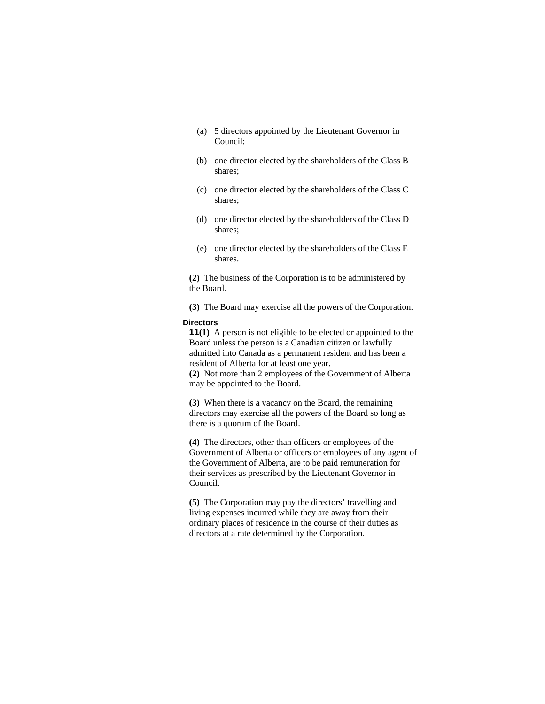- (a) 5 directors appointed by the Lieutenant Governor in Council;
- (b) one director elected by the shareholders of the Class B shares;
- (c) one director elected by the shareholders of the Class C shares;
- (d) one director elected by the shareholders of the Class D shares;
- (e) one director elected by the shareholders of the Class E shares.

**(2)** The business of the Corporation is to be administered by the Board.

**(3)** The Board may exercise all the powers of the Corporation.

### **Directors**

**11(1)** A person is not eligible to be elected or appointed to the Board unless the person is a Canadian citizen or lawfully admitted into Canada as a permanent resident and has been a resident of Alberta for at least one year.

**(2)** Not more than 2 employees of the Government of Alberta may be appointed to the Board.

**(3)** When there is a vacancy on the Board, the remaining directors may exercise all the powers of the Board so long as there is a quorum of the Board.

**(4)** The directors, other than officers or employees of the Government of Alberta or officers or employees of any agent of the Government of Alberta, are to be paid remuneration for their services as prescribed by the Lieutenant Governor in Council.

**(5)** The Corporation may pay the directors' travelling and living expenses incurred while they are away from their ordinary places of residence in the course of their duties as directors at a rate determined by the Corporation.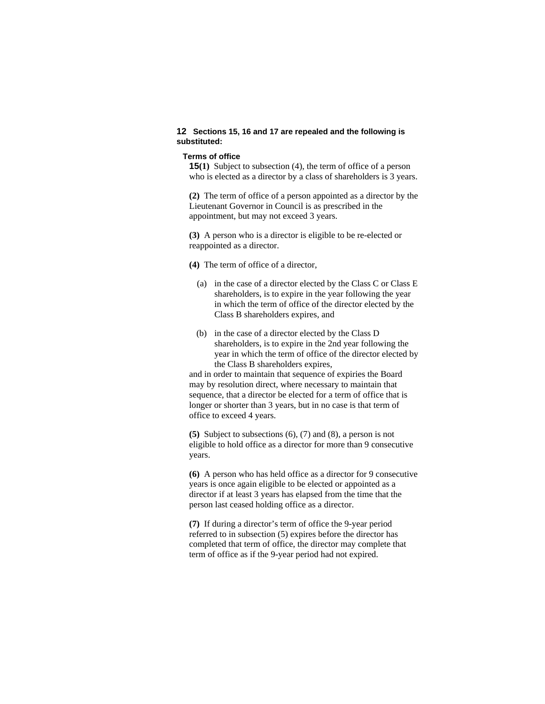### **12 Sections 15, 16 and 17 are repealed and the following is substituted:**

#### **Terms of office**

**15(1)** Subject to subsection (4), the term of office of a person who is elected as a director by a class of shareholders is 3 years.

**(2)** The term of office of a person appointed as a director by the Lieutenant Governor in Council is as prescribed in the appointment, but may not exceed 3 years.

**(3)** A person who is a director is eligible to be re-elected or reappointed as a director.

**(4)** The term of office of a director,

- (a) in the case of a director elected by the Class C or Class E shareholders, is to expire in the year following the year in which the term of office of the director elected by the Class B shareholders expires, and
- (b) in the case of a director elected by the Class D shareholders, is to expire in the 2nd year following the year in which the term of office of the director elected by the Class B shareholders expires,

and in order to maintain that sequence of expiries the Board may by resolution direct, where necessary to maintain that sequence, that a director be elected for a term of office that is longer or shorter than 3 years, but in no case is that term of office to exceed 4 years.

**(5)** Subject to subsections (6), (7) and (8), a person is not eligible to hold office as a director for more than 9 consecutive years.

**(6)** A person who has held office as a director for 9 consecutive years is once again eligible to be elected or appointed as a director if at least 3 years has elapsed from the time that the person last ceased holding office as a director.

**(7)** If during a director's term of office the 9-year period referred to in subsection (5) expires before the director has completed that term of office, the director may complete that term of office as if the 9-year period had not expired.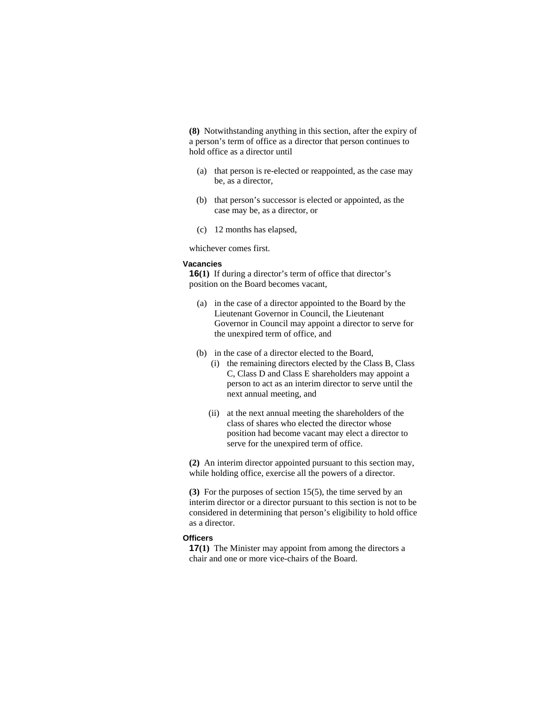**(8)** Notwithstanding anything in this section, after the expiry of a person's term of office as a director that person continues to hold office as a director until

- (a) that person is re-elected or reappointed, as the case may be, as a director,
- (b) that person's successor is elected or appointed, as the case may be, as a director, or
- (c) 12 months has elapsed,

whichever comes first.

#### **Vacancies**

**16(1)** If during a director's term of office that director's position on the Board becomes vacant,

- (a) in the case of a director appointed to the Board by the Lieutenant Governor in Council, the Lieutenant Governor in Council may appoint a director to serve for the unexpired term of office, and
- (b) in the case of a director elected to the Board,
	- (i) the remaining directors elected by the Class B, Class C, Class D and Class E shareholders may appoint a person to act as an interim director to serve until the next annual meeting, and
	- (ii) at the next annual meeting the shareholders of the class of shares who elected the director whose position had become vacant may elect a director to serve for the unexpired term of office.

**(2)** An interim director appointed pursuant to this section may, while holding office, exercise all the powers of a director.

**(3)** For the purposes of section 15(5), the time served by an interim director or a director pursuant to this section is not to be considered in determining that person's eligibility to hold office as a director.

# **Officers**

**17(1)** The Minister may appoint from among the directors a chair and one or more vice-chairs of the Board.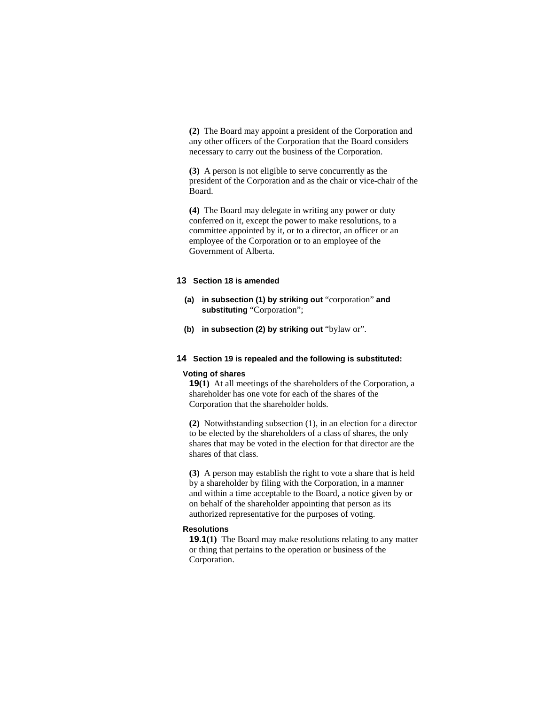**(2)** The Board may appoint a president of the Corporation and any other officers of the Corporation that the Board considers necessary to carry out the business of the Corporation.

**(3)** A person is not eligible to serve concurrently as the president of the Corporation and as the chair or vice-chair of the Board.

**(4)** The Board may delegate in writing any power or duty conferred on it, except the power to make resolutions, to a committee appointed by it, or to a director, an officer or an employee of the Corporation or to an employee of the Government of Alberta.

#### **13 Section 18 is amended**

- **(a) in subsection (1) by striking out** "corporation" **and substituting** "Corporation";
- **(b) in subsection (2) by striking out** "bylaw or".

#### **14 Section 19 is repealed and the following is substituted:**

#### **Voting of shares**

**19(1)** At all meetings of the shareholders of the Corporation, a shareholder has one vote for each of the shares of the Corporation that the shareholder holds.

**(2)** Notwithstanding subsection (1), in an election for a director to be elected by the shareholders of a class of shares, the only shares that may be voted in the election for that director are the shares of that class.

**(3)** A person may establish the right to vote a share that is held by a shareholder by filing with the Corporation, in a manner and within a time acceptable to the Board, a notice given by or on behalf of the shareholder appointing that person as its authorized representative for the purposes of voting.

#### **Resolutions**

**19.1(1)** The Board may make resolutions relating to any matter or thing that pertains to the operation or business of the Corporation.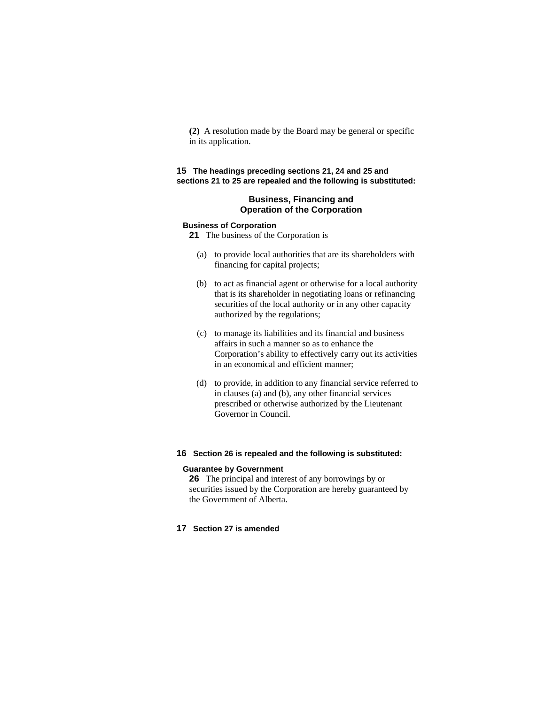**(2)** A resolution made by the Board may be general or specific in its application.

# **15 The headings preceding sections 21, 24 and 25 and sections 21 to 25 are repealed and the following is substituted:**

### **Business, Financing and Operation of the Corporation**

## **Business of Corporation**

**21** The business of the Corporation is

- (a) to provide local authorities that are its shareholders with financing for capital projects;
- (b) to act as financial agent or otherwise for a local authority that is its shareholder in negotiating loans or refinancing securities of the local authority or in any other capacity authorized by the regulations;
- (c) to manage its liabilities and its financial and business affairs in such a manner so as to enhance the Corporation's ability to effectively carry out its activities in an economical and efficient manner;
- (d) to provide, in addition to any financial service referred to in clauses (a) and (b), any other financial services prescribed or otherwise authorized by the Lieutenant Governor in Council.

#### **16 Section 26 is repealed and the following is substituted:**

#### **Guarantee by Government**

**26** The principal and interest of any borrowings by or securities issued by the Corporation are hereby guaranteed by the Government of Alberta.

# **17 Section 27 is amended**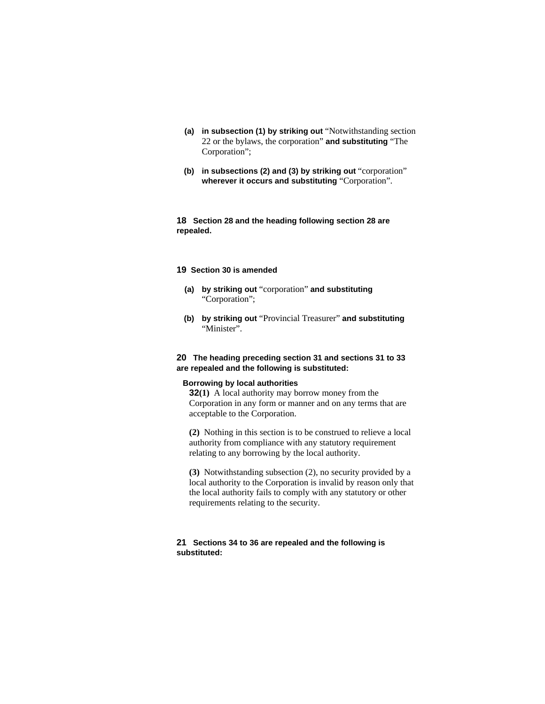- **(a) in subsection (1) by striking out** "Notwithstanding section 22 or the bylaws, the corporation" **and substituting** "The Corporation";
- **(b) in subsections (2) and (3) by striking out** "corporation" **wherever it occurs and substituting** "Corporation".

**18 Section 28 and the heading following section 28 are repealed.** 

### **19 Section 30 is amended**

- **(a) by striking out** "corporation" **and substituting**  "Corporation";
- **(b) by striking out** "Provincial Treasurer" **and substituting**  "Minister".

### **20 The heading preceding section 31 and sections 31 to 33 are repealed and the following is substituted:**

# **Borrowing by local authorities**

**32(1)** A local authority may borrow money from the Corporation in any form or manner and on any terms that are acceptable to the Corporation.

**(2)** Nothing in this section is to be construed to relieve a local authority from compliance with any statutory requirement relating to any borrowing by the local authority.

**(3)** Notwithstanding subsection (2), no security provided by a local authority to the Corporation is invalid by reason only that the local authority fails to comply with any statutory or other requirements relating to the security.

### **21 Sections 34 to 36 are repealed and the following is substituted:**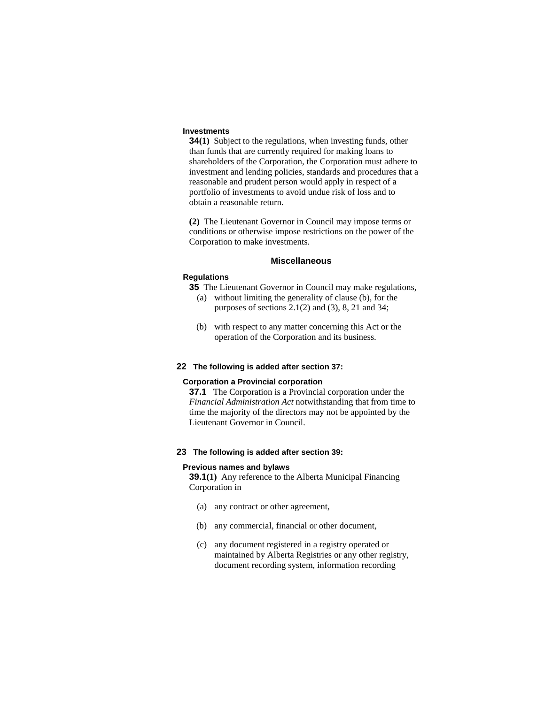#### **Investments**

**34(1)** Subject to the regulations, when investing funds, other than funds that are currently required for making loans to shareholders of the Corporation, the Corporation must adhere to investment and lending policies, standards and procedures that a reasonable and prudent person would apply in respect of a portfolio of investments to avoid undue risk of loss and to obtain a reasonable return.

**(2)** The Lieutenant Governor in Council may impose terms or conditions or otherwise impose restrictions on the power of the Corporation to make investments.

#### **Miscellaneous**

#### **Regulations**

- **35** The Lieutenant Governor in Council may make regulations,
	- (a) without limiting the generality of clause (b), for the purposes of sections 2.1(2) and (3), 8, 21 and 34;
	- (b) with respect to any matter concerning this Act or the operation of the Corporation and its business.

#### **22 The following is added after section 37:**

#### **Corporation a Provincial corporation**

**37.1** The Corporation is a Provincial corporation under the *Financial Administration Act* notwithstanding that from time to time the majority of the directors may not be appointed by the Lieutenant Governor in Council.

# **23 The following is added after section 39:**

#### **Previous names and bylaws**

**39.1(1)** Any reference to the Alberta Municipal Financing Corporation in

- (a) any contract or other agreement,
- (b) any commercial, financial or other document,
- (c) any document registered in a registry operated or maintained by Alberta Registries or any other registry, document recording system, information recording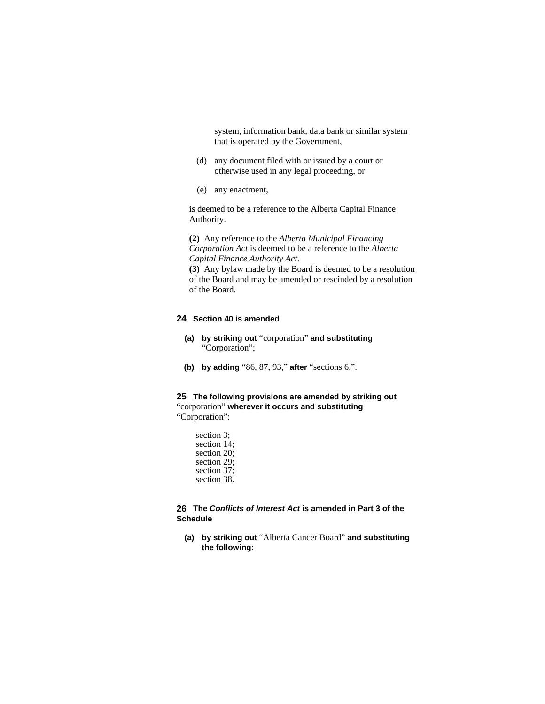system, information bank, data bank or similar system that is operated by the Government,

- (d) any document filed with or issued by a court or otherwise used in any legal proceeding, or
- (e) any enactment,

is deemed to be a reference to the Alberta Capital Finance Authority.

**(2)** Any reference to the *Alberta Municipal Financing Corporation Act* is deemed to be a reference to the *Alberta Capital Finance Authority Act*.

**(3)** Any bylaw made by the Board is deemed to be a resolution of the Board and may be amended or rescinded by a resolution of the Board.

### **24 Section 40 is amended**

- **(a) by striking out** "corporation" **and substituting**  "Corporation";
- **(b) by adding** "86, 87, 93," **after** "sections 6,".

### **25 The following provisions are amended by striking out**  "corporation" **wherever it occurs and substituting**  "Corporation":

section 3; section 14; section 20; section 29; section 37; section 38.

# **26 The** *Conflicts of Interest Act* **is amended in Part 3 of the Schedule**

 **(a) by striking out** "Alberta Cancer Board" **and substituting the following:**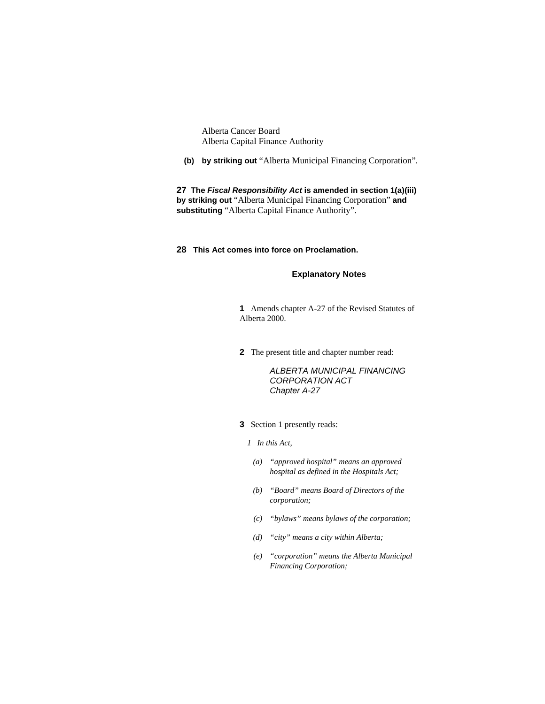Alberta Cancer Board Alberta Capital Finance Authority

 **(b) by striking out** "Alberta Municipal Financing Corporation".

**27 The** *Fiscal Responsibility Act* **is amended in section 1(a)(iii) by striking out** "Alberta Municipal Financing Corporation" **and substituting** "Alberta Capital Finance Authority".

# **28 This Act comes into force on Proclamation.**

### **Explanatory Notes**

**1** Amends chapter A-27 of the Revised Statutes of Alberta 2000.

**2** The present title and chapter number read:

 *ALBERTA MUNICIPAL FINANCING CORPORATION ACT Chapter A-27* 

## **3** Section 1 presently reads:

- *1 In this Act,*
- *(a) "approved hospital" means an approved hospital as defined in the Hospitals Act;*
- *(b) "Board" means Board of Directors of the corporation;*
- *(c) "bylaws" means bylaws of the corporation;*
- *(d) "city" means a city within Alberta;*
- *(e) "corporation" means the Alberta Municipal Financing Corporation;*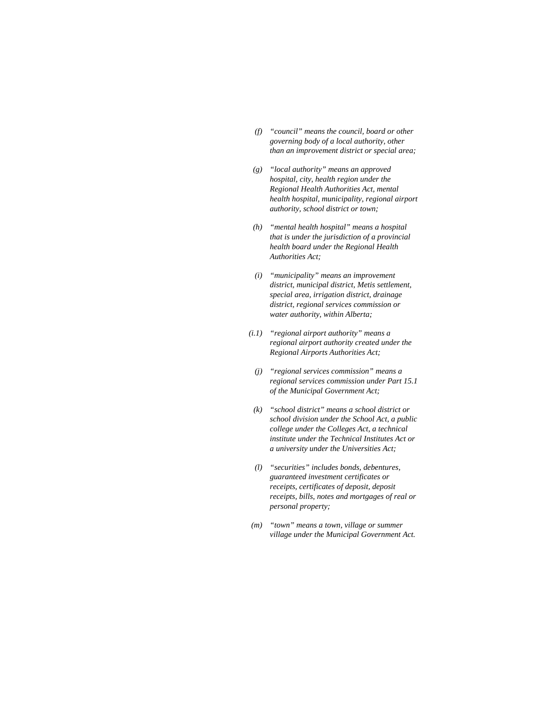- *(f) "council" means the council, board or other governing body of a local authority, other than an improvement district or special area;*
- *(g) "local authority" means an approved hospital, city, health region under the Regional Health Authorities Act, mental health hospital, municipality, regional airport authority, school district or town;*
- *(h) "mental health hospital" means a hospital that is under the jurisdiction of a provincial health board under the Regional Health Authorities Act;*
- *(i) "municipality" means an improvement district, municipal district, Metis settlement, special area, irrigation district, drainage district, regional services commission or water authority, within Alberta;*
- *(i.1) "regional airport authority" means a regional airport authority created under the Regional Airports Authorities Act;* 
	- *(j) "regional services commission" means a regional services commission under Part 15.1 of the Municipal Government Act;*
- *(k) "school district" means a school district or school division under the School Act, a public college under the Colleges Act, a technical institute under the Technical Institutes Act or a university under the Universities Act;*
- *(l) "securities" includes bonds, debentures, guaranteed investment certificates or receipts, certificates of deposit, deposit receipts, bills, notes and mortgages of real or personal property;*
- *(m) "town" means a town, village or summer village under the Municipal Government Act.*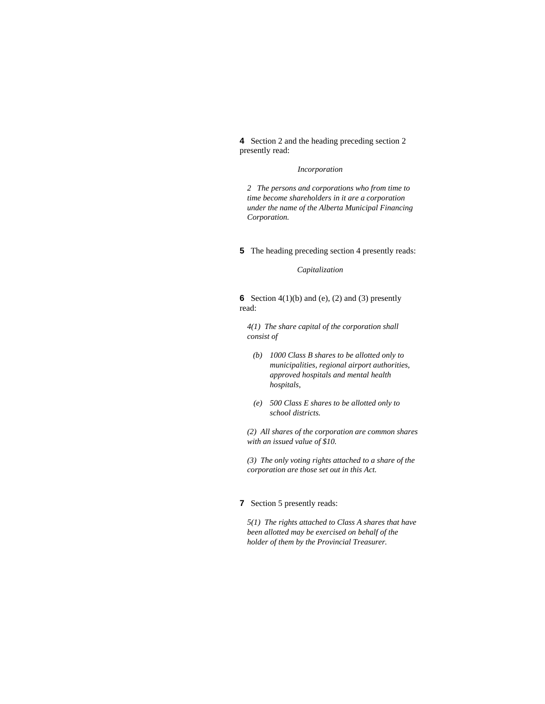**4** Section 2 and the heading preceding section 2 presently read:

#### *Incorporation*

*2 The persons and corporations who from time to time become shareholders in it are a corporation under the name of the Alberta Municipal Financing Corporation.* 

**5** The heading preceding section 4 presently reads:

#### *Capitalization*

**6** Section  $4(1)(b)$  and (e), (2) and (3) presently read:

*4(1) The share capital of the corporation shall consist of* 

- *(b) 1000 Class B shares to be allotted only to municipalities, regional airport authorities, approved hospitals and mental health hospitals,*
- *(e) 500 Class E shares to be allotted only to school districts.*

*(2) All shares of the corporation are common shares with an issued value of \$10.* 

*(3) The only voting rights attached to a share of the corporation are those set out in this Act.* 

## **7** Section 5 presently reads:

*5(1) The rights attached to Class A shares that have been allotted may be exercised on behalf of the holder of them by the Provincial Treasurer.*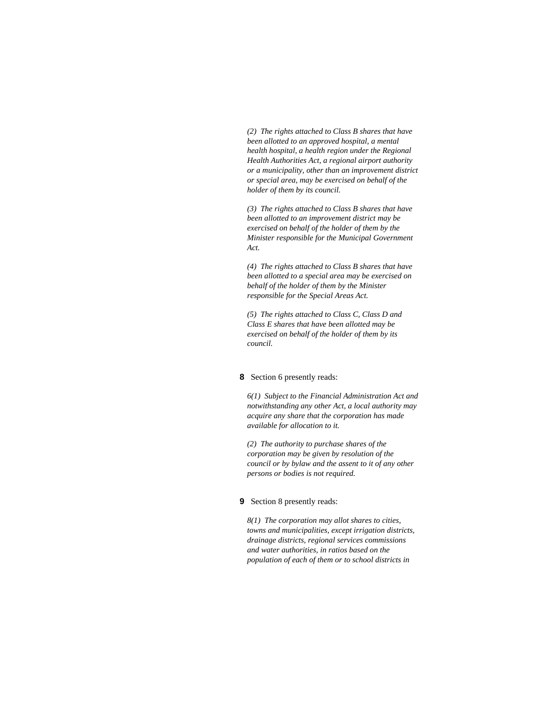*(2) The rights attached to Class B shares that have been allotted to an approved hospital, a mental health hospital, a health region under the Regional Health Authorities Act, a regional airport authority or a municipality, other than an improvement district or special area, may be exercised on behalf of the holder of them by its council.* 

*(3) The rights attached to Class B shares that have been allotted to an improvement district may be exercised on behalf of the holder of them by the Minister responsible for the Municipal Government Act.* 

*(4) The rights attached to Class B shares that have been allotted to a special area may be exercised on behalf of the holder of them by the Minister responsible for the Special Areas Act.* 

*(5) The rights attached to Class C, Class D and Class E shares that have been allotted may be exercised on behalf of the holder of them by its council.* 

#### **8** Section 6 presently reads:

*6(1) Subject to the Financial Administration Act and notwithstanding any other Act, a local authority may acquire any share that the corporation has made available for allocation to it.* 

*(2) The authority to purchase shares of the corporation may be given by resolution of the council or by bylaw and the assent to it of any other persons or bodies is not required.* 

#### **9** Section 8 presently reads:

*8(1) The corporation may allot shares to cities, towns and municipalities, except irrigation districts, drainage districts, regional services commissions and water authorities, in ratios based on the population of each of them or to school districts in*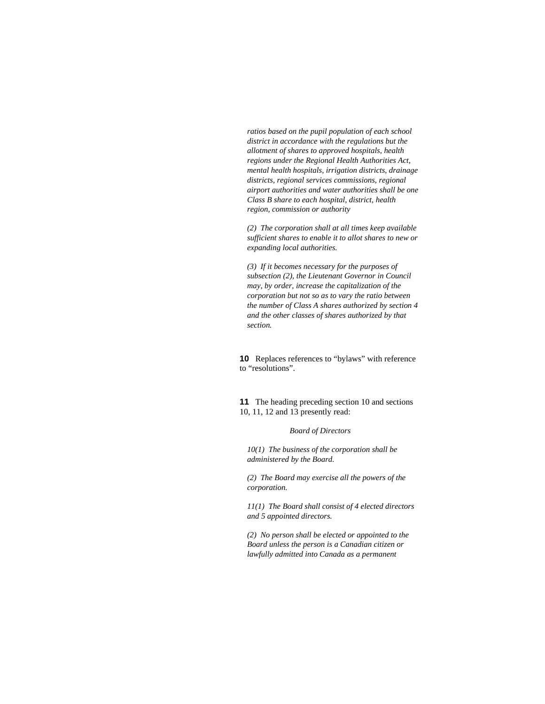*ratios based on the pupil population of each school district in accordance with the regulations but the allotment of shares to approved hospitals, health regions under the Regional Health Authorities Act, mental health hospitals, irrigation districts, drainage districts, regional services commissions, regional airport authorities and water authorities shall be one Class B share to each hospital, district, health region, commission or authority* 

*(2) The corporation shall at all times keep available sufficient shares to enable it to allot shares to new or expanding local authorities.* 

*(3) If it becomes necessary for the purposes of subsection (2), the Lieutenant Governor in Council may, by order, increase the capitalization of the corporation but not so as to vary the ratio between the number of Class A shares authorized by section 4 and the other classes of shares authorized by that section.* 

**10** Replaces references to "bylaws" with reference to "resolutions".

**11** The heading preceding section 10 and sections 10, 11, 12 and 13 presently read:

#### *Board of Directors*

*10(1) The business of the corporation shall be administered by the Board.* 

*(2) The Board may exercise all the powers of the corporation.* 

*11(1) The Board shall consist of 4 elected directors and 5 appointed directors.* 

*(2) No person shall be elected or appointed to the Board unless the person is a Canadian citizen or lawfully admitted into Canada as a permanent*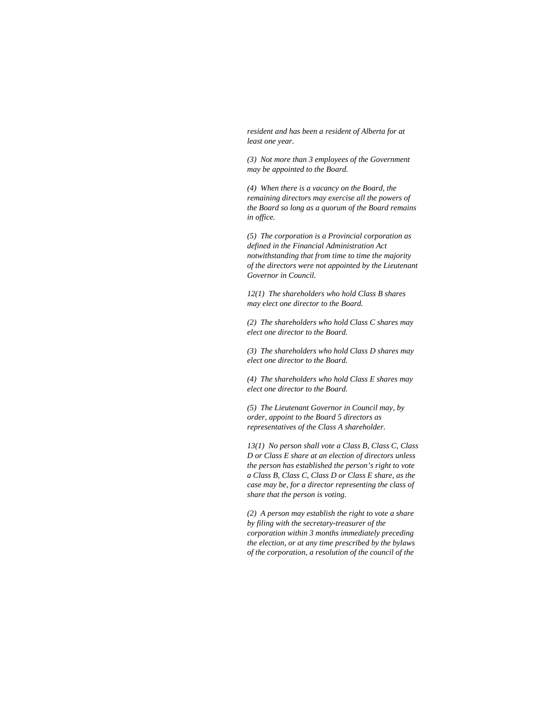*resident and has been a resident of Alberta for at least one year.* 

*(3) Not more than 3 employees of the Government may be appointed to the Board.* 

*(4) When there is a vacancy on the Board, the remaining directors may exercise all the powers of the Board so long as a quorum of the Board remains in office.* 

*(5) The corporation is a Provincial corporation as defined in the Financial Administration Act notwithstanding that from time to time the majority of the directors were not appointed by the Lieutenant Governor in Council.* 

*12(1) The shareholders who hold Class B shares may elect one director to the Board.* 

*(2) The shareholders who hold Class C shares may elect one director to the Board.* 

*(3) The shareholders who hold Class D shares may elect one director to the Board.* 

*(4) The shareholders who hold Class E shares may elect one director to the Board.* 

*(5) The Lieutenant Governor in Council may, by order, appoint to the Board 5 directors as representatives of the Class A shareholder.* 

*13(1) No person shall vote a Class B, Class C, Class D or Class E share at an election of directors unless the person has established the person's right to vote a Class B, Class C, Class D or Class E share, as the case may be, for a director representing the class of share that the person is voting.* 

*(2) A person may establish the right to vote a share by filing with the secretary-treasurer of the corporation within 3 months immediately preceding the election, or at any time prescribed by the bylaws of the corporation, a resolution of the council of the*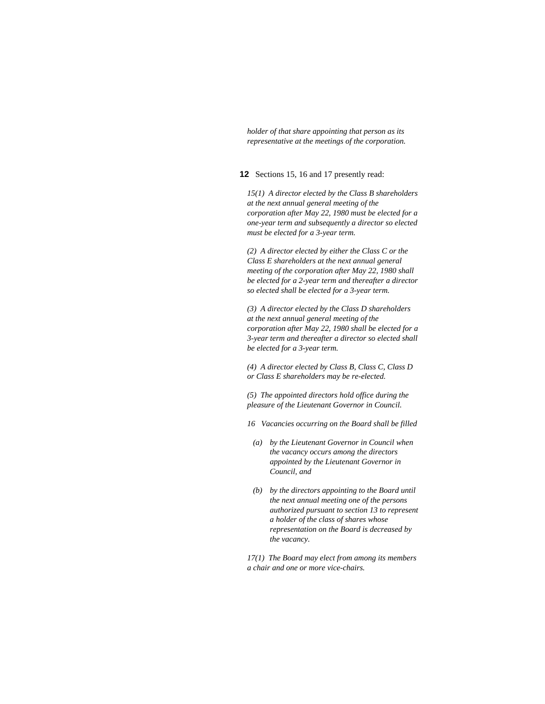*holder of that share appointing that person as its representative at the meetings of the corporation.* 

**12** Sections 15, 16 and 17 presently read:

*15(1) A director elected by the Class B shareholders at the next annual general meeting of the corporation after May 22, 1980 must be elected for a one-year term and subsequently a director so elected must be elected for a 3-year term.* 

*(2) A director elected by either the Class C or the Class E shareholders at the next annual general meeting of the corporation after May 22, 1980 shall be elected for a 2-year term and thereafter a director so elected shall be elected for a 3-year term.* 

*(3) A director elected by the Class D shareholders at the next annual general meeting of the corporation after May 22, 1980 shall be elected for a 3-year term and thereafter a director so elected shall be elected for a 3-year term.* 

*(4) A director elected by Class B, Class C, Class D or Class E shareholders may be re-elected.* 

*(5) The appointed directors hold office during the pleasure of the Lieutenant Governor in Council.* 

- *16 Vacancies occurring on the Board shall be filled*
- *(a) by the Lieutenant Governor in Council when the vacancy occurs among the directors appointed by the Lieutenant Governor in Council, and*
- *(b) by the directors appointing to the Board until the next annual meeting one of the persons authorized pursuant to section 13 to represent a holder of the class of shares whose representation on the Board is decreased by the vacancy.*

*17(1) The Board may elect from among its members a chair and one or more vice-chairs.*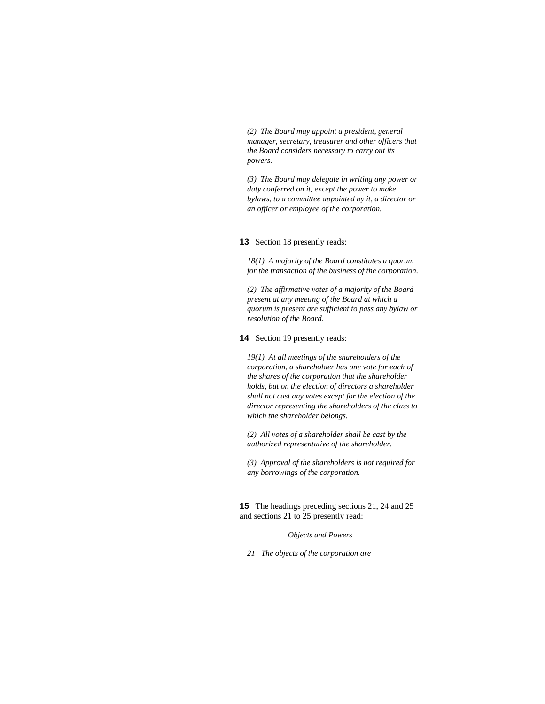*(2) The Board may appoint a president, general manager, secretary, treasurer and other officers that the Board considers necessary to carry out its powers.* 

*(3) The Board may delegate in writing any power or duty conferred on it, except the power to make bylaws, to a committee appointed by it, a director or an officer or employee of the corporation.* 

#### **13** Section 18 presently reads:

*18(1) A majority of the Board constitutes a quorum for the transaction of the business of the corporation.* 

*(2) The affirmative votes of a majority of the Board present at any meeting of the Board at which a quorum is present are sufficient to pass any bylaw or resolution of the Board.* 

**14** Section 19 presently reads:

*19(1) At all meetings of the shareholders of the corporation, a shareholder has one vote for each of the shares of the corporation that the shareholder holds, but on the election of directors a shareholder shall not cast any votes except for the election of the director representing the shareholders of the class to which the shareholder belongs.* 

*(2) All votes of a shareholder shall be cast by the authorized representative of the shareholder.* 

*(3) Approval of the shareholders is not required for any borrowings of the corporation.* 

**15** The headings preceding sections 21, 24 and 25 and sections 21 to 25 presently read:

*Objects and Powers* 

*21 The objects of the corporation are*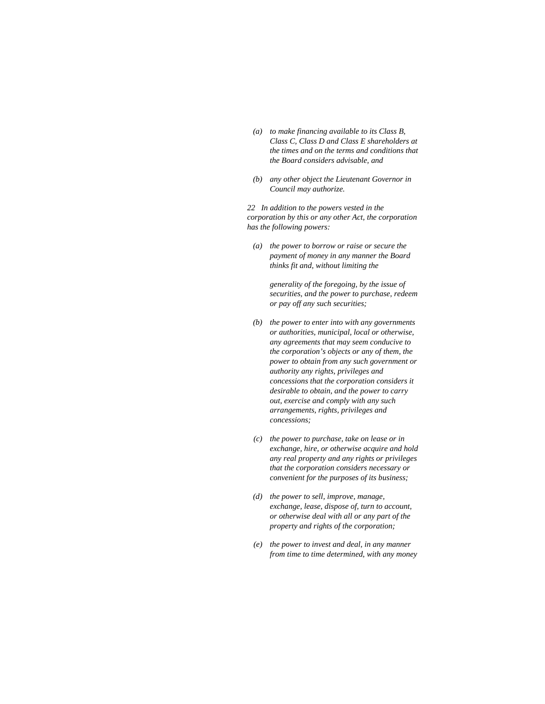- *(a) to make financing available to its Class B, Class C, Class D and Class E shareholders at the times and on the terms and conditions that the Board considers advisable, and*
- *(b) any other object the Lieutenant Governor in Council may authorize.*

*22 In addition to the powers vested in the corporation by this or any other Act, the corporation has the following powers:* 

 *(a) the power to borrow or raise or secure the payment of money in any manner the Board thinks fit and, without limiting the* 

> *generality of the foregoing, by the issue of securities, and the power to purchase, redeem or pay off any such securities;*

- *(b) the power to enter into with any governments or authorities, municipal, local or otherwise, any agreements that may seem conducive to the corporation's objects or any of them, the power to obtain from any such government or authority any rights, privileges and concessions that the corporation considers it desirable to obtain, and the power to carry out, exercise and comply with any such arrangements, rights, privileges and concessions;*
- *(c) the power to purchase, take on lease or in exchange, hire, or otherwise acquire and hold any real property and any rights or privileges that the corporation considers necessary or convenient for the purposes of its business;*
- *(d) the power to sell, improve, manage, exchange, lease, dispose of, turn to account, or otherwise deal with all or any part of the property and rights of the corporation;*
- *(e) the power to invest and deal, in any manner from time to time determined, with any money*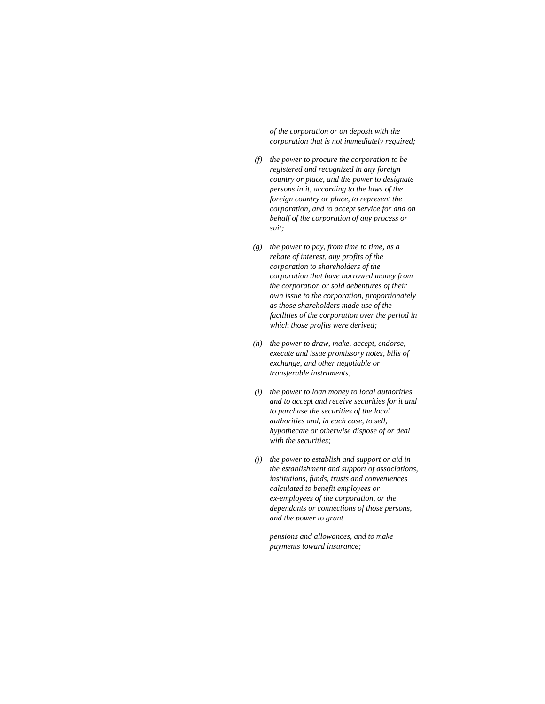*of the corporation or on deposit with the corporation that is not immediately required;* 

- *(f) the power to procure the corporation to be registered and recognized in any foreign country or place, and the power to designate persons in it, according to the laws of the foreign country or place, to represent the corporation, and to accept service for and on behalf of the corporation of any process or suit;*
- *(g) the power to pay, from time to time, as a rebate of interest, any profits of the corporation to shareholders of the corporation that have borrowed money from the corporation or sold debentures of their own issue to the corporation, proportionately as those shareholders made use of the facilities of the corporation over the period in which those profits were derived;*
- *(h) the power to draw, make, accept, endorse, execute and issue promissory notes, bills of exchange, and other negotiable or transferable instruments;*
- *(i) the power to loan money to local authorities and to accept and receive securities for it and to purchase the securities of the local authorities and, in each case, to sell, hypothecate or otherwise dispose of or deal with the securities;*
- *(j) the power to establish and support or aid in the establishment and support of associations, institutions, funds, trusts and conveniences calculated to benefit employees or ex-employees of the corporation, or the dependants or connections of those persons, and the power to grant*

 *pensions and allowances, and to make payments toward insurance;*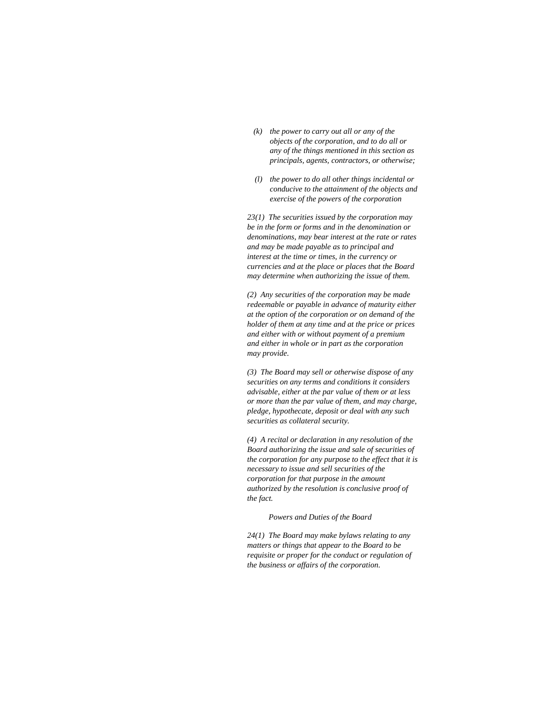- *(k) the power to carry out all or any of the objects of the corporation, and to do all or any of the things mentioned in this section as principals, agents, contractors, or otherwise;*
- *(l) the power to do all other things incidental or conducive to the attainment of the objects and exercise of the powers of the corporation*

*23(1) The securities issued by the corporation may be in the form or forms and in the denomination or denominations, may bear interest at the rate or rates and may be made payable as to principal and interest at the time or times, in the currency or currencies and at the place or places that the Board may determine when authorizing the issue of them.* 

*(2) Any securities of the corporation may be made redeemable or payable in advance of maturity either at the option of the corporation or on demand of the holder of them at any time and at the price or prices and either with or without payment of a premium and either in whole or in part as the corporation may provide.* 

*(3) The Board may sell or otherwise dispose of any securities on any terms and conditions it considers advisable, either at the par value of them or at less or more than the par value of them, and may charge, pledge, hypothecate, deposit or deal with any such securities as collateral security.* 

*(4) A recital or declaration in any resolution of the Board authorizing the issue and sale of securities of the corporation for any purpose to the effect that it is necessary to issue and sell securities of the corporation for that purpose in the amount authorized by the resolution is conclusive proof of the fact.* 

*Powers and Duties of the Board* 

*24(1) The Board may make bylaws relating to any matters or things that appear to the Board to be requisite or proper for the conduct or regulation of the business or affairs of the corporation.*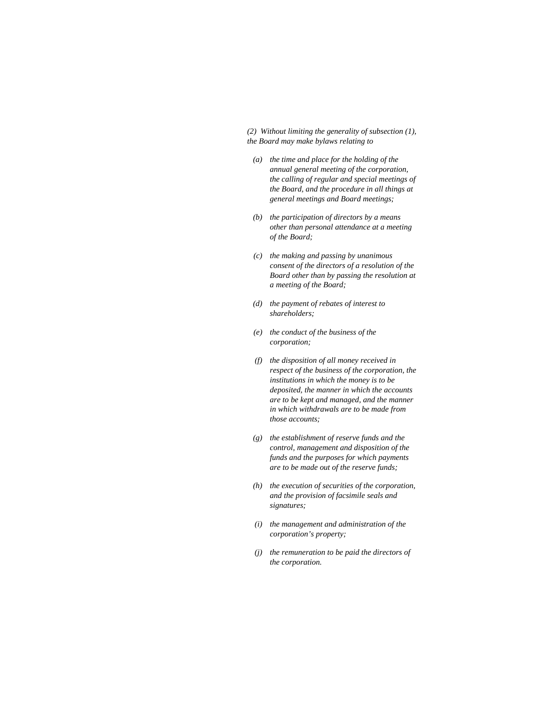*(2) Without limiting the generality of subsection (1), the Board may make bylaws relating to* 

- *(a) the time and place for the holding of the annual general meeting of the corporation, the calling of regular and special meetings of the Board, and the procedure in all things at general meetings and Board meetings;*
- *(b) the participation of directors by a means other than personal attendance at a meeting of the Board;*
- *(c) the making and passing by unanimous consent of the directors of a resolution of the Board other than by passing the resolution at a meeting of the Board;*
- *(d) the payment of rebates of interest to shareholders;*
- *(e) the conduct of the business of the corporation;*
- *(f) the disposition of all money received in respect of the business of the corporation, the institutions in which the money is to be deposited, the manner in which the accounts are to be kept and managed, and the manner in which withdrawals are to be made from those accounts;*
- *(g) the establishment of reserve funds and the control, management and disposition of the funds and the purposes for which payments are to be made out of the reserve funds;*
- *(h) the execution of securities of the corporation, and the provision of facsimile seals and signatures;*
- *(i) the management and administration of the corporation's property;*
- *(j) the remuneration to be paid the directors of the corporation.*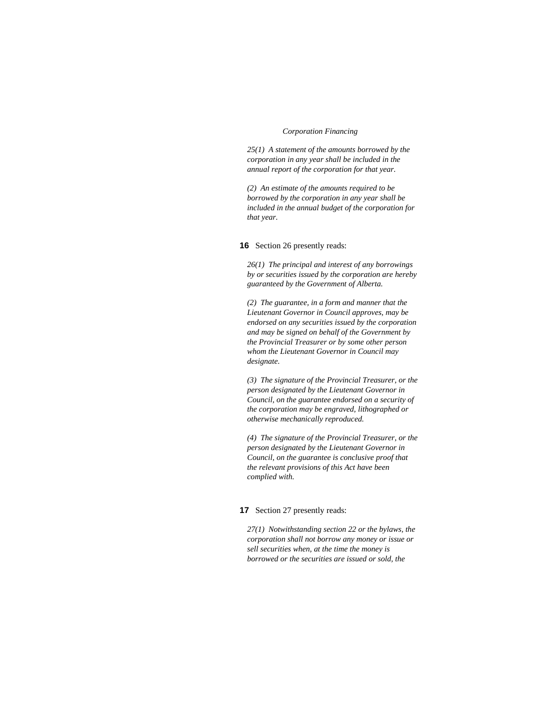#### *Corporation Financing*

*25(1) A statement of the amounts borrowed by the corporation in any year shall be included in the annual report of the corporation for that year.* 

*(2) An estimate of the amounts required to be borrowed by the corporation in any year shall be included in the annual budget of the corporation for that year.* 

#### **16** Section 26 presently reads:

*26(1) The principal and interest of any borrowings by or securities issued by the corporation are hereby guaranteed by the Government of Alberta.* 

*(2) The guarantee, in a form and manner that the Lieutenant Governor in Council approves, may be endorsed on any securities issued by the corporation and may be signed on behalf of the Government by the Provincial Treasurer or by some other person whom the Lieutenant Governor in Council may designate.* 

*(3) The signature of the Provincial Treasurer, or the person designated by the Lieutenant Governor in Council, on the guarantee endorsed on a security of the corporation may be engraved, lithographed or otherwise mechanically reproduced.* 

*(4) The signature of the Provincial Treasurer, or the person designated by the Lieutenant Governor in Council, on the guarantee is conclusive proof that the relevant provisions of this Act have been complied with.* 

### **17** Section 27 presently reads:

*27(1) Notwithstanding section 22 or the bylaws, the corporation shall not borrow any money or issue or sell securities when, at the time the money is borrowed or the securities are issued or sold, the*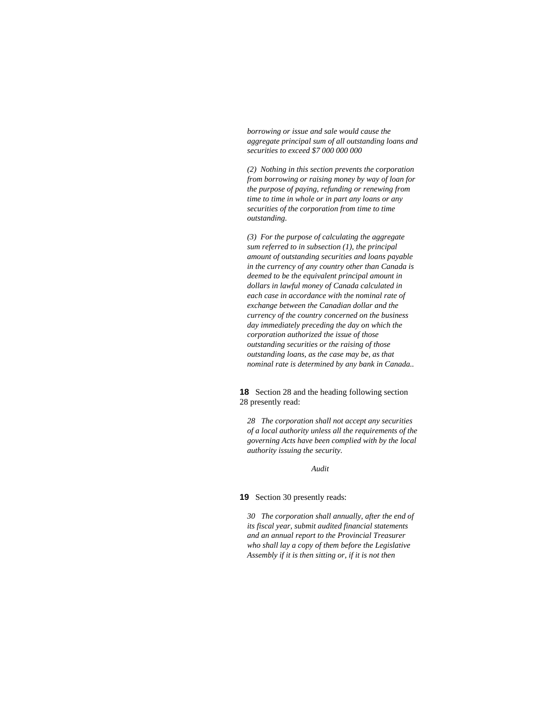*borrowing or issue and sale would cause the aggregate principal sum of all outstanding loans and securities to exceed \$7 000 000 000* 

*(2) Nothing in this section prevents the corporation from borrowing or raising money by way of loan for the purpose of paying, refunding or renewing from time to time in whole or in part any loans or any securities of the corporation from time to time outstanding.* 

*(3) For the purpose of calculating the aggregate sum referred to in subsection (1), the principal amount of outstanding securities and loans payable in the currency of any country other than Canada is deemed to be the equivalent principal amount in dollars in lawful money of Canada calculated in each case in accordance with the nominal rate of exchange between the Canadian dollar and the currency of the country concerned on the business day immediately preceding the day on which the corporation authorized the issue of those outstanding securities or the raising of those outstanding loans, as the case may be, as that nominal rate is determined by any bank in Canada..* 

**18** Section 28 and the heading following section 28 presently read:

*28 The corporation shall not accept any securities of a local authority unless all the requirements of the governing Acts have been complied with by the local authority issuing the security.* 

*Audit* 

**19** Section 30 presently reads:

*30 The corporation shall annually, after the end of its fiscal year, submit audited financial statements and an annual report to the Provincial Treasurer who shall lay a copy of them before the Legislative Assembly if it is then sitting or, if it is not then*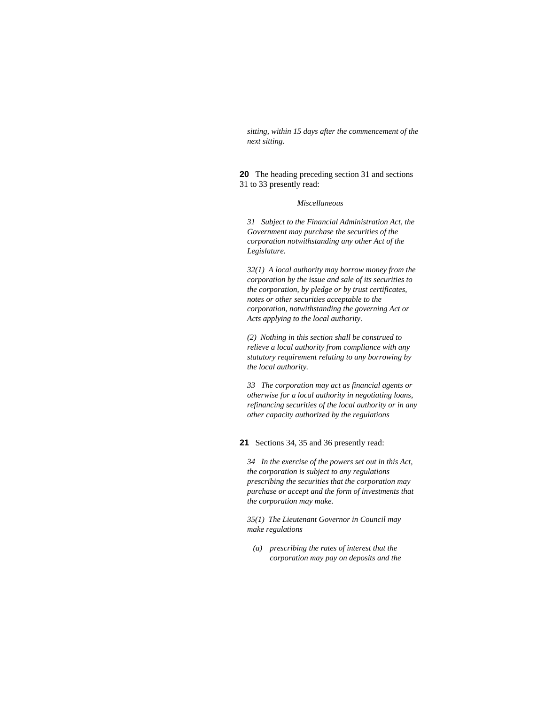*sitting, within 15 days after the commencement of the next sitting.* 

**20** The heading preceding section 31 and sections 31 to 33 presently read:

#### *Miscellaneous*

*31 Subject to the Financial Administration Act, the Government may purchase the securities of the corporation notwithstanding any other Act of the Legislature.* 

*32(1) A local authority may borrow money from the corporation by the issue and sale of its securities to the corporation, by pledge or by trust certificates, notes or other securities acceptable to the corporation, notwithstanding the governing Act or Acts applying to the local authority.* 

*(2) Nothing in this section shall be construed to relieve a local authority from compliance with any statutory requirement relating to any borrowing by the local authority.* 

*33 The corporation may act as financial agents or otherwise for a local authority in negotiating loans, refinancing securities of the local authority or in any other capacity authorized by the regulations* 

**21** Sections 34, 35 and 36 presently read:

*34 In the exercise of the powers set out in this Act, the corporation is subject to any regulations prescribing the securities that the corporation may purchase or accept and the form of investments that the corporation may make.* 

*35(1) The Lieutenant Governor in Council may make regulations* 

 *(a) prescribing the rates of interest that the corporation may pay on deposits and the*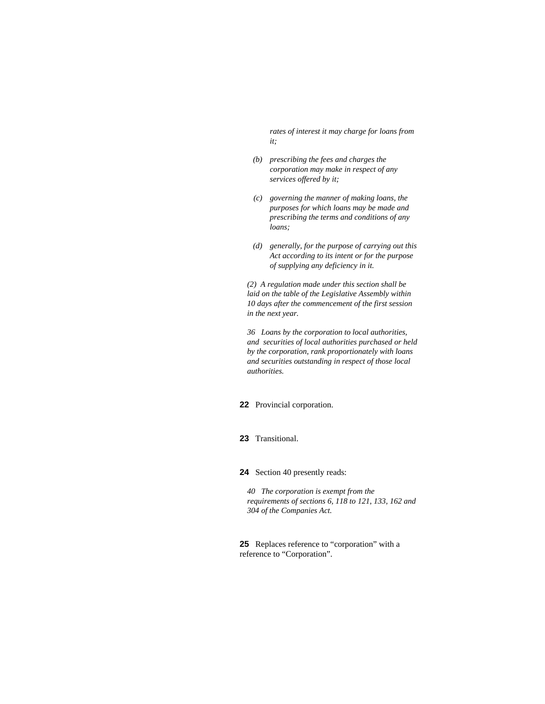*rates of interest it may charge for loans from it;* 

- *(b) prescribing the fees and charges the corporation may make in respect of any services offered by it;*
- *(c) governing the manner of making loans, the purposes for which loans may be made and prescribing the terms and conditions of any loans;*
- *(d) generally, for the purpose of carrying out this Act according to its intent or for the purpose of supplying any deficiency in it.*

*(2) A regulation made under this section shall be laid on the table of the Legislative Assembly within 10 days after the commencement of the first session in the next year.* 

*36 Loans by the corporation to local authorities, and securities of local authorities purchased or held by the corporation, rank proportionately with loans and securities outstanding in respect of those local authorities.* 

**22** Provincial corporation.

**23** Transitional.

**24** Section 40 presently reads:

*40 The corporation is exempt from the requirements of sections 6, 118 to 121, 133, 162 and 304 of the Companies Act.* 

**25** Replaces reference to "corporation" with a reference to "Corporation".